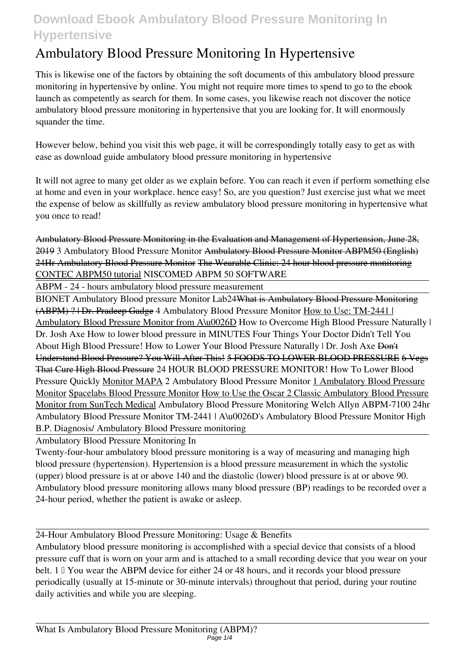# **Download Ebook Ambulatory Blood Pressure Monitoring In Hypertensive**

# **Ambulatory Blood Pressure Monitoring In Hypertensive**

This is likewise one of the factors by obtaining the soft documents of this **ambulatory blood pressure monitoring in hypertensive** by online. You might not require more times to spend to go to the ebook launch as competently as search for them. In some cases, you likewise reach not discover the notice ambulatory blood pressure monitoring in hypertensive that you are looking for. It will enormously squander the time.

However below, behind you visit this web page, it will be correspondingly totally easy to get as with ease as download guide ambulatory blood pressure monitoring in hypertensive

It will not agree to many get older as we explain before. You can reach it even if perform something else at home and even in your workplace. hence easy! So, are you question? Just exercise just what we meet the expense of below as skillfully as review **ambulatory blood pressure monitoring in hypertensive** what you once to read!

Ambulatory Blood Pressure Monitoring in the Evaluation and Management of Hypertension, June 28, 2019 *3 Ambulatory Blood Pressure Monitor* Ambulatory Blood Pressure Monitor ABPM50 (English) 24Hr Ambulatory Blood Pressure Monitor The Wearable Clinic: 24 hour blood pressure monitoring CONTEC ABPM50 tutorial *NISCOMED ABPM 50 SOFTWARE*

ABPM - 24 - hours ambulatory blood pressure measurement

BIONET Ambulatory Blood pressure Monitor Lab24What is Ambulatory Blood Pressure Monitoring (ABPM) ? | Dr. Pradeep Gadge *4 Ambulatory Blood Pressure Monitor* How to Use: TM-2441 | Ambulatory Blood Pressure Monitor from A\u0026D *How to Overcome High Blood Pressure Naturally | Dr. Josh Axe* **How to lower blood pressure in MINUTES** *Four Things Your Doctor Didn't Tell You About High Blood Pressure! How to Lower Your Blood Pressure Naturally | Dr. Josh Axe* Don't Understand Blood Pressure? You Will After This! 5 FOODS TO LOWER BLOOD PRESSURE 6 Vegs That Cure High Blood Pressure *24 HOUR BLOOD PRESSURE MONITOR!* **How To Lower Blood Pressure Quickly** Monitor MAPA 2 Ambulatory Blood Pressure Monitor 1 Ambulatory Blood Pressure Monitor Spacelabs Blood Pressure Monitor How to Use the Oscar 2 Classic Ambulatory Blood Pressure Monitor from SunTech Medical *Ambulatory Blood Pressure Monitoring* **Welch Allyn ABPM-7100 24hr Ambulatory Blood Pressure Monitor TM-2441 | A\u0026D's Ambulatory Blood Pressure Monitor** *High B.P. Diagnosis/ Ambulatory Blood Pressure monitoring*

Ambulatory Blood Pressure Monitoring In

Twenty-four-hour ambulatory blood pressure monitoring is a way of measuring and managing high blood pressure (hypertension). Hypertension is a blood pressure measurement in which the systolic (upper) blood pressure is at or above 140 and the diastolic (lower) blood pressure is at or above 90. Ambulatory blood pressure monitoring allows many blood pressure (BP) readings to be recorded over a 24-hour period, whether the patient is awake or asleep.

24-Hour Ambulatory Blood Pressure Monitoring: Usage & Benefits

Ambulatory blood pressure monitoring is accomplished with a special device that consists of a blood pressure cuff that is worn on your arm and is attached to a small recording device that you wear on your belt.  $1 \mathbb{I}$  You wear the ABPM device for either 24 or 48 hours, and it records your blood pressure periodically (usually at 15-minute or 30-minute intervals) throughout that period, during your routine daily activities and while you are sleeping.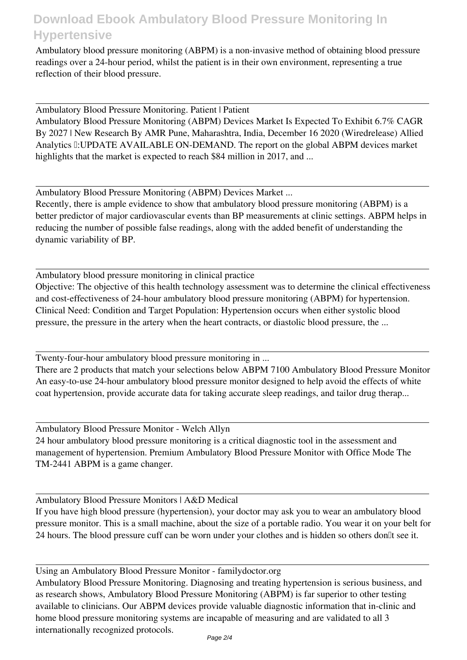## **Download Ebook Ambulatory Blood Pressure Monitoring In Hypertensive**

Ambulatory blood pressure monitoring (ABPM) is a non-invasive method of obtaining blood pressure readings over a 24-hour period, whilst the patient is in their own environment, representing a true reflection of their blood pressure.

Ambulatory Blood Pressure Monitoring. Patient | Patient

Ambulatory Blood Pressure Monitoring (ABPM) Devices Market Is Expected To Exhibit 6.7% CAGR By 2027 | New Research By AMR Pune, Maharashtra, India, December 16 2020 (Wiredrelease) Allied Analytics I: UPDATE AVAILABLE ON-DEMAND. The report on the global ABPM devices market highlights that the market is expected to reach \$84 million in 2017, and ...

Ambulatory Blood Pressure Monitoring (ABPM) Devices Market ...

Recently, there is ample evidence to show that ambulatory blood pressure monitoring (ABPM) is a better predictor of major cardiovascular events than BP measurements at clinic settings. ABPM helps in reducing the number of possible false readings, along with the added benefit of understanding the dynamic variability of BP.

Ambulatory blood pressure monitoring in clinical practice Objective: The objective of this health technology assessment was to determine the clinical effectiveness and cost-effectiveness of 24-hour ambulatory blood pressure monitoring (ABPM) for hypertension. Clinical Need: Condition and Target Population: Hypertension occurs when either systolic blood pressure, the pressure in the artery when the heart contracts, or diastolic blood pressure, the ...

Twenty-four-hour ambulatory blood pressure monitoring in ...

There are 2 products that match your selections below ABPM 7100 Ambulatory Blood Pressure Monitor An easy-to-use 24-hour ambulatory blood pressure monitor designed to help avoid the effects of white coat hypertension, provide accurate data for taking accurate sleep readings, and tailor drug therap...

Ambulatory Blood Pressure Monitor - Welch Allyn 24 hour ambulatory blood pressure monitoring is a critical diagnostic tool in the assessment and management of hypertension. Premium Ambulatory Blood Pressure Monitor with Office Mode The TM-2441 ABPM is a game changer.

Ambulatory Blood Pressure Monitors | A&D Medical

If you have high blood pressure (hypertension), your doctor may ask you to wear an ambulatory blood pressure monitor. This is a small machine, about the size of a portable radio. You wear it on your belt for 24 hours. The blood pressure cuff can be worn under your clothes and is hidden so others don<sup>[1]</sup> see it.

Using an Ambulatory Blood Pressure Monitor - familydoctor.org Ambulatory Blood Pressure Monitoring. Diagnosing and treating hypertension is serious business, and as research shows, Ambulatory Blood Pressure Monitoring (ABPM) is far superior to other testing available to clinicians. Our ABPM devices provide valuable diagnostic information that in-clinic and home blood pressure monitoring systems are incapable of measuring and are validated to all 3 internationally recognized protocols.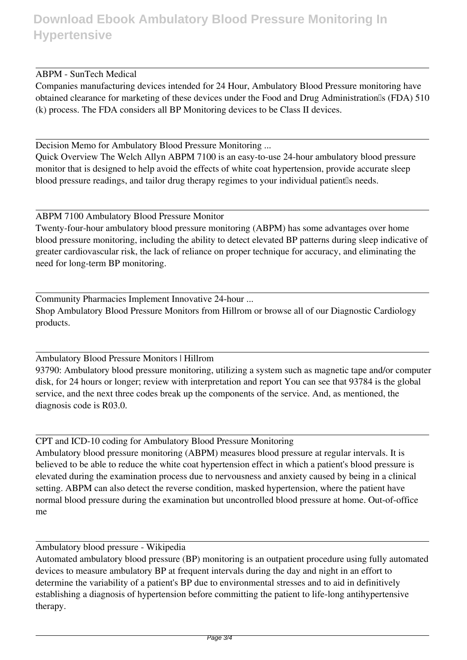### ABPM - SunTech Medical

Companies manufacturing devices intended for 24 Hour, Ambulatory Blood Pressure monitoring have obtained clearance for marketing of these devices under the Food and Drug Administration<sup>®</sup>s (FDA) 510 (k) process. The FDA considers all BP Monitoring devices to be Class II devices.

Decision Memo for Ambulatory Blood Pressure Monitoring ...

Quick Overview The Welch Allyn ABPM 7100 is an easy-to-use 24-hour ambulatory blood pressure monitor that is designed to help avoid the effects of white coat hypertension, provide accurate sleep blood pressure readings, and tailor drug therapy regimes to your individual patient is needs.

### ABPM 7100 Ambulatory Blood Pressure Monitor

Twenty-four-hour ambulatory blood pressure monitoring (ABPM) has some advantages over home blood pressure monitoring, including the ability to detect elevated BP patterns during sleep indicative of greater cardiovascular risk, the lack of reliance on proper technique for accuracy, and eliminating the need for long-term BP monitoring.

Community Pharmacies Implement Innovative 24-hour ... Shop Ambulatory Blood Pressure Monitors from Hillrom or browse all of our Diagnostic Cardiology products.

### Ambulatory Blood Pressure Monitors | Hillrom

93790: Ambulatory blood pressure monitoring, utilizing a system such as magnetic tape and/or computer disk, for 24 hours or longer; review with interpretation and report You can see that 93784 is the global service, and the next three codes break up the components of the service. And, as mentioned, the diagnosis code is R03.0.

CPT and ICD-10 coding for Ambulatory Blood Pressure Monitoring

Ambulatory blood pressure monitoring (ABPM) measures blood pressure at regular intervals. It is believed to be able to reduce the white coat hypertension effect in which a patient's blood pressure is elevated during the examination process due to nervousness and anxiety caused by being in a clinical setting. ABPM can also detect the reverse condition, masked hypertension, where the patient have normal blood pressure during the examination but uncontrolled blood pressure at home. Out-of-office me

Ambulatory blood pressure - Wikipedia

Automated ambulatory blood pressure (BP) monitoring is an outpatient procedure using fully automated devices to measure ambulatory BP at frequent intervals during the day and night in an effort to determine the variability of a patient's BP due to environmental stresses and to aid in definitively establishing a diagnosis of hypertension before committing the patient to life-long antihypertensive therapy.